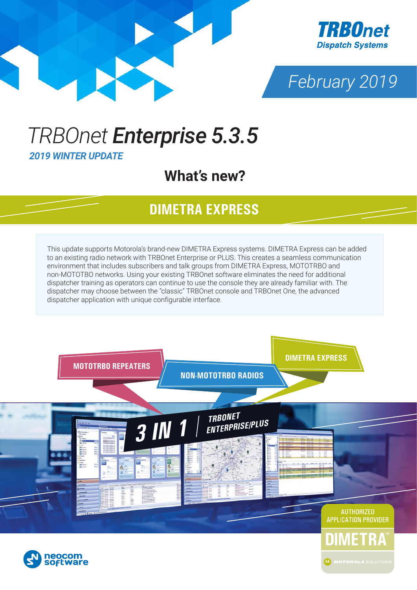





## *TRBOnet Enterprise 5.3.5 2019 WINTER UPDATE*

### **What's new?**

#### **DIMETRA EXPRESS**

This update supports Motorola's brand-new DIMETRA Express systems. DIMETRA Express can be added to an existing radio network with TRBOnet Enterprise or PLUS. This creates a seamless communication environment that includes subscribers and talk groups from DIMETRA Express, MOTOTRBO and non-MOTOTBO networks. Using your existing TRBOnet software eliminates the need for additional dispatcher training as operators can continue to use the console they are already familiar with. The dispatcher may choose between the "classic" TRBOnet console and TRBOnet One, the advanced dispatcher application with unique configurable interface.